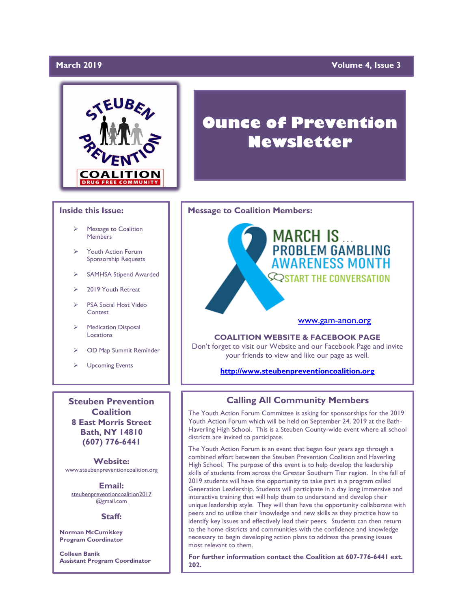## March 2019

## **Wolume 4, Issue 3**



## **Inside this Issue:**

- Message to Coalition **Members**
- ➢ Youth Action Forum Sponsorship Requests
- SAMHSA Stipend Awarded
- ➢ 2019 Youth Retreat
- PSA Social Host Video Contest
- ➢ Medication Disposal Locations
- ➢ OD Map Summit Reminder
- ➢ Upcoming Events

**Steuben Prevention Coalition 8 East Morris Street Bath, NY 14810 (607) 776-6441**

**Website:**  www.steubenpreventioncoalition.org

**Email:**  steubenpreventioncoalition2017 @gmail.com

### **Staff:**

**Norman McCumiskey Program Coordinator**

**Colleen Banik Assistant Program Coordinator**

# **Ounce of Prevention Newsletter**

## **Message to Coalition Members:**



## [www.gam-anon.org](http://www.gam-anon.org/)

**COALITION WEBSITE & FACEBOOK PAGE** Don't forget to visit our Website and our Facebook Page and invite your friends to view and like our page as well.

### **[http://www.steubenpreventioncoalition.org](http://www.steubenpreventioncoalition.org/)**

## **Calling All Community Members**

The Youth Action Forum Committee is asking for sponsorships for the 2019 Youth Action Forum which will be held on September 24, 2019 at the Bath-Haverling High School. This is a Steuben County-wide event where all school districts are invited to participate.

The Youth Action Forum is an event that began four years ago through a combined effort between the Steuben Prevention Coalition and Haverling High School. The purpose of this event is to help develop the leadership skills of students from across the Greater Southern Tier region. In the fall of 2019 students will have the opportunity to take part in a program called Generation Leadership. Students will participate in a day long immersive and interactive training that will help them to understand and develop their unique leadership style. They will then have the opportunity collaborate with peers and to utilize their knowledge and new skills as they practice how to identify key issues and effectively lead their peers. Students can then return to the home districts and communities with the confidence and knowledge necessary to begin developing action plans to address the pressing issues most relevant to them.

**For further information contact the Coalition at 607-776-6441 ext. 202.**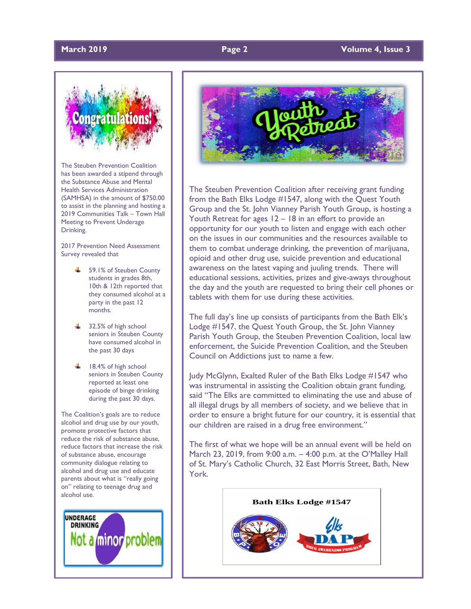## **March 2019 Page 2 Volume 4, Issue 3**



The Steuben Prevention Coalition has been awarded a stipend through the Substance Abuse and Mental Health Services Administration (SAMHSA) in the amount of \$750.00 to assist in the planning and hosting a 2019 Communities Talk – Town Hall Meeting to Prevent Underage Drinking.

2017 Prevention Need Assessment Survey revealed that

- $\frac{1}{2}$  59.1% of Steuben County students in grades 8th, 10th & 12th reported that they consumed alcohol at a party in the past 12 months.
- $\frac{1}{2}$  32.5% of high school seniors in Steuben County have consumed alcohol in the past 30 days
- $\pm$  18.4% of high school seniors in Steuben County reported at least one episode of binge drinking during the past 30 days.

The Coalition's goals are to reduce alcohol and drug use by our youth, promote protective factors that reduce the risk of substance abuse, reduce factors that increase the risk of substance abuse, encourage community dialogue relating to alcohol and drug use and educate parents about what is "really going on" relating to teenage drug and alcohol use.





The Steuben Prevention Coalition after receiving grant funding from the Bath Elks Lodge #1547, along with the Quest Youth Group and the St. John Vianney Parish Youth Group, is hosting a Youth Retreat for ages 12 – 18 in an effort to provide an opportunity for our youth to listen and engage with each other on the issues in our communities and the resources available to them to combat underage drinking, the prevention of marijuana, opioid and other drug use, suicide prevention and educational awareness on the latest vaping and juuling trends. There will educational sessions, activities, prizes and give-aways throughout the day and the youth are requested to bring their cell phones or tablets with them for use during these activities.

The full day's line up consists of participants from the Bath Elk's Lodge #1547, the Quest Youth Group, the St. John Vianney Parish Youth Group, the Steuben Prevention Coalition, local law enforcement, the Suicide Prevention Coalition, and the Steuben Council on Addictions just to name a few.

Judy McGlynn, Exalted Ruler of the Bath Elks Lodge #1547 who was instrumental in assisting the Coalition obtain grant funding, said "The Elks are committed to eliminating the use and abuse of all illegal drugs by all members of society, and we believe that in order to ensure a bright future for our country, it is essential that our children are raised in a drug free environment."

The first of what we hope will be an annual event will be held on March 23, 2019, from 9:00 a.m. – 4:00 p.m. at the O'Malley Hall of St. Mary's Catholic Church, 32 East Morris Street, Bath, New York.

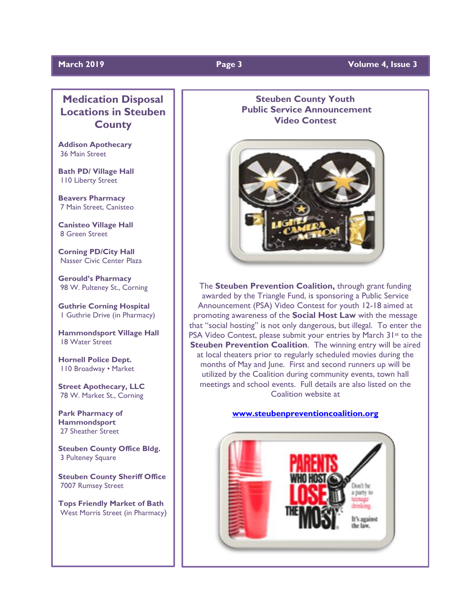## **March 2019 Page 3 Volume 4, Issue 3**

## **Medication Disposal Locations in Steuben County**

**Addison Apothecary** 36 Main Street

**Bath PD/ Village Hall** 110 Liberty Street

**Beavers Pharmacy** 7 Main Street, Canisteo

**Canisteo Village Hall**  8 Green Street

**Corning PD/City Hall**  Nasser Civic Center Plaza

**Gerould's Pharmacy** 98 W. Pulteney St., Corning

**Guthrie Corning Hospital** 1 Guthrie Drive (in Pharmacy)

**Hammondsport Village Hall**  18 Water Street

**Hornell Police Dept.**  110 Broadway • Market

**Street Apothecary, LLC**  78 W. Market St., Corning

**Park Pharmacy of Hammondsport**  27 Sheather Street

**Steuben County Office Bldg.**  3 Pulteney Square

**Steuben County Sheriff Office**  7007 Rumsey Street

**Tops Friendly Market of Bath** West Morris Street (in Pharmacy)

## **Steuben County Youth Public Service Announcement Video Contest**



The **Steuben Prevention Coalition,** through grant funding awarded by the Triangle Fund, is sponsoring a Public Service Announcement (PSA) Video Contest for youth 12-18 aimed at promoting awareness of the **Social Host Law** with the message that "social hosting" is not only dangerous, but illegal. To enter the PSA Video Contest, please submit your entries by March 31<sup>st</sup> to the **Steuben Prevention Coalition.** The winning entry will be aired at local theaters prior to regularly scheduled movies during the months of May and June. First and second runners up will be utilized by the Coalition during community events, town hall meetings and school events. Full details are also listed on the Coalition website at

## **[www.steubenpreventioncoalition.org](http://www.steubenpreventioncoalition.org/)**